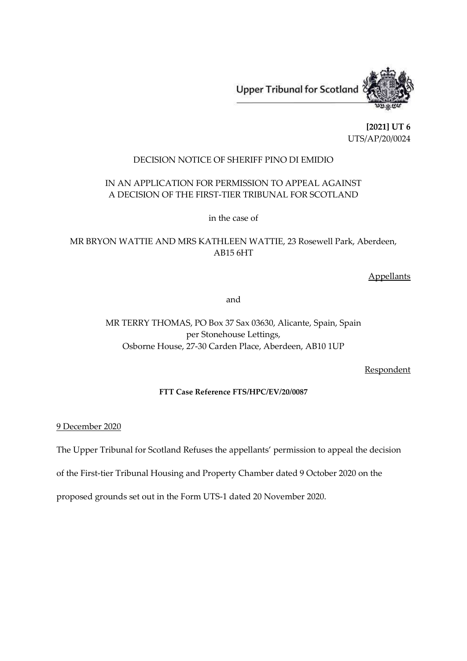**Upper Tribunal for Scotland** 



**[2021] UT 6** UTS/AP/20/0024

## DECISION NOTICE OF SHERIFF PINO DI EMIDIO

## IN AN APPLICATION FOR PERMISSION TO APPEAL AGAINST A DECISION OF THE FIRST-TIER TRIBUNAL FOR SCOTLAND

in the case of

# MR BRYON WATTIE AND MRS KATHLEEN WATTIE, 23 Rosewell Park, Aberdeen, AB15 6HT

**Appellants** 

and

# MR TERRY THOMAS, PO Box 37 Sax 03630, Alicante, Spain, Spain per Stonehouse Lettings, Osborne House, 27-30 Carden Place, Aberdeen, AB10 1UP

**Respondent** 

### **FTT Case Reference FTS/HPC/EV/20/0087**

9 December 2020

The Upper Tribunal for Scotland Refuses the appellants' permission to appeal the decision

of the First-tier Tribunal Housing and Property Chamber dated 9 October 2020 on the

proposed grounds set out in the Form UTS-1 dated 20 November 2020.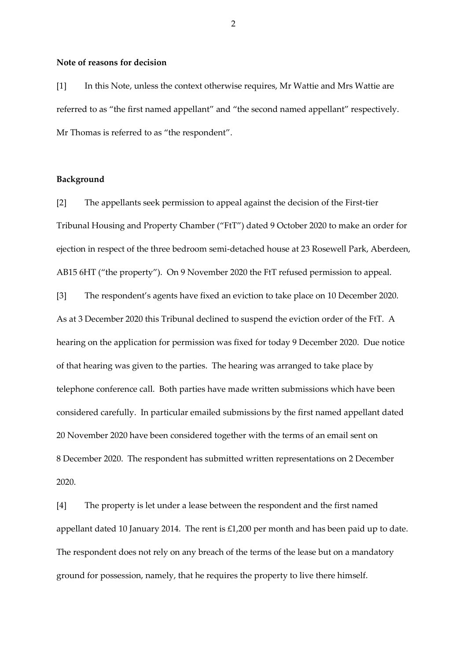#### **Note of reasons for decision**

[1] In this Note, unless the context otherwise requires, Mr Wattie and Mrs Wattie are referred to as "the first named appellant" and "the second named appellant" respectively. Mr Thomas is referred to as "the respondent".

#### **Background**

[2] The appellants seek permission to appeal against the decision of the First-tier Tribunal Housing and Property Chamber ("FtT") dated 9 October 2020 to make an order for ejection in respect of the three bedroom semi-detached house at 23 Rosewell Park, Aberdeen, AB15 6HT ("the property"). On 9 November 2020 the FtT refused permission to appeal.

[3] The respondent's agents have fixed an eviction to take place on 10 December 2020. As at 3 December 2020 this Tribunal declined to suspend the eviction order of the FtT. A hearing on the application for permission was fixed for today 9 December 2020. Due notice of that hearing was given to the parties. The hearing was arranged to take place by telephone conference call. Both parties have made written submissions which have been considered carefully. In particular emailed submissions by the first named appellant dated 20 November 2020 have been considered together with the terms of an email sent on 8 December 2020. The respondent has submitted written representations on 2 December 2020.

[4] The property is let under a lease between the respondent and the first named appellant dated 10 January 2014. The rent is £1,200 per month and has been paid up to date. The respondent does not rely on any breach of the terms of the lease but on a mandatory ground for possession, namely, that he requires the property to live there himself.

2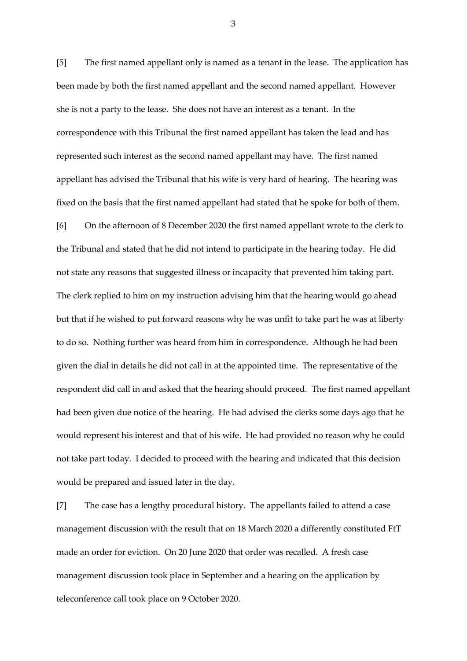[5] The first named appellant only is named as a tenant in the lease. The application has been made by both the first named appellant and the second named appellant. However she is not a party to the lease. She does not have an interest as a tenant. In the correspondence with this Tribunal the first named appellant has taken the lead and has represented such interest as the second named appellant may have. The first named appellant has advised the Tribunal that his wife is very hard of hearing. The hearing was fixed on the basis that the first named appellant had stated that he spoke for both of them. [6] On the afternoon of 8 December 2020 the first named appellant wrote to the clerk to

the Tribunal and stated that he did not intend to participate in the hearing today. He did not state any reasons that suggested illness or incapacity that prevented him taking part. The clerk replied to him on my instruction advising him that the hearing would go ahead but that if he wished to put forward reasons why he was unfit to take part he was at liberty to do so. Nothing further was heard from him in correspondence. Although he had been given the dial in details he did not call in at the appointed time. The representative of the respondent did call in and asked that the hearing should proceed. The first named appellant had been given due notice of the hearing. He had advised the clerks some days ago that he would represent his interest and that of his wife. He had provided no reason why he could not take part today. I decided to proceed with the hearing and indicated that this decision would be prepared and issued later in the day.

[7] The case has a lengthy procedural history. The appellants failed to attend a case management discussion with the result that on 18 March 2020 a differently constituted FtT made an order for eviction. On 20 June 2020 that order was recalled. A fresh case management discussion took place in September and a hearing on the application by teleconference call took place on 9 October 2020.

3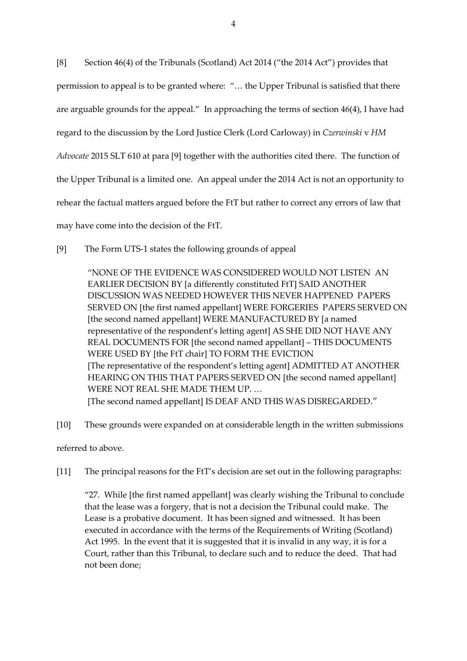[8] Section 46(4) of the Tribunals (Scotland) Act 2014 ("the 2014 Act") provides that permission to appeal is to be granted where: "… the Upper Tribunal is satisfied that there are arguable grounds for the appeal." In approaching the terms of section 46(4), I have had regard to the discussion by the Lord Justice Clerk (Lord Carloway) in *Czerwinski* v *HM Advocate* 2015 SLT 610 at para [9] together with the authorities cited there. The function of the Upper Tribunal is a limited one. An appeal under the 2014 Act is not an opportunity to rehear the factual matters argued before the FtT but rather to correct any errors of law that may have come into the decision of the FtT.

[9] The Form UTS-1 states the following grounds of appeal

"NONE OF THE EVIDENCE WAS CONSIDERED WOULD NOT LISTEN AN EARLIER DECISION BY [a differently constituted FtT] SAID ANOTHER DISCUSSION WAS NEEDED HOWEVER THIS NEVER HAPPENED PAPERS SERVED ON [the first named appellant] WERE FORGERIES PAPERS SERVED ON [the second named appellant] WERE MANUFACTURED BY [a named representative of the respondent's letting agent] AS SHE DID NOT HAVE ANY REAL DOCUMENTS FOR [the second named appellant] – THIS DOCUMENTS WERE USED BY [the FtT chair] TO FORM THE EVICTION [The representative of the respondent's letting agent] ADMITTED AT ANOTHER HEARING ON THIS THAT PAPERS SERVED ON [the second named appellant] WERE NOT REAL SHE MADE THEM UP. … [The second named appellant] IS DEAF AND THIS WAS DISREGARDED."

[10] These grounds were expanded on at considerable length in the written submissions

referred to above.

[11] The principal reasons for the FtT's decision are set out in the following paragraphs:

"27. While [the first named appellant] was clearly wishing the Tribunal to conclude that the lease was a forgery, that is not a decision the Tribunal could make. The Lease is a probative document. It has been signed and witnessed. It has been executed in accordance with the terms of the Requirements of Writing (Scotland) Act 1995. In the event that it is suggested that it is invalid in any way, it is for a Court, rather than this Tribunal, to declare such and to reduce the deed. That had not been done;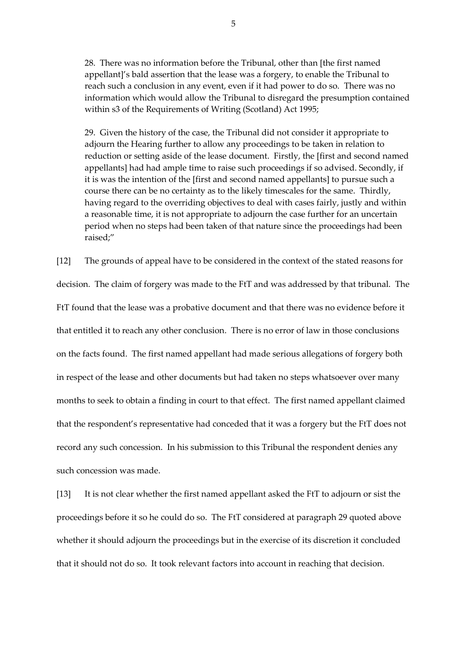28. There was no information before the Tribunal, other than [the first named appellant]'s bald assertion that the lease was a forgery, to enable the Tribunal to reach such a conclusion in any event, even if it had power to do so. There was no information which would allow the Tribunal to disregard the presumption contained within s3 of the Requirements of Writing (Scotland) Act 1995;

29. Given the history of the case, the Tribunal did not consider it appropriate to adjourn the Hearing further to allow any proceedings to be taken in relation to reduction or setting aside of the lease document. Firstly, the [first and second named appellants] had had ample time to raise such proceedings if so advised. Secondly, if it is was the intention of the [first and second named appellants] to pursue such a course there can be no certainty as to the likely timescales for the same. Thirdly, having regard to the overriding objectives to deal with cases fairly, justly and within a reasonable time, it is not appropriate to adjourn the case further for an uncertain period when no steps had been taken of that nature since the proceedings had been raised;"

[12] The grounds of appeal have to be considered in the context of the stated reasons for decision. The claim of forgery was made to the FtT and was addressed by that tribunal. The FtT found that the lease was a probative document and that there was no evidence before it that entitled it to reach any other conclusion. There is no error of law in those conclusions on the facts found. The first named appellant had made serious allegations of forgery both in respect of the lease and other documents but had taken no steps whatsoever over many months to seek to obtain a finding in court to that effect. The first named appellant claimed that the respondent's representative had conceded that it was a forgery but the FtT does not record any such concession. In his submission to this Tribunal the respondent denies any such concession was made.

[13] It is not clear whether the first named appellant asked the FtT to adjourn or sist the proceedings before it so he could do so. The FtT considered at paragraph 29 quoted above whether it should adjourn the proceedings but in the exercise of its discretion it concluded that it should not do so. It took relevant factors into account in reaching that decision.